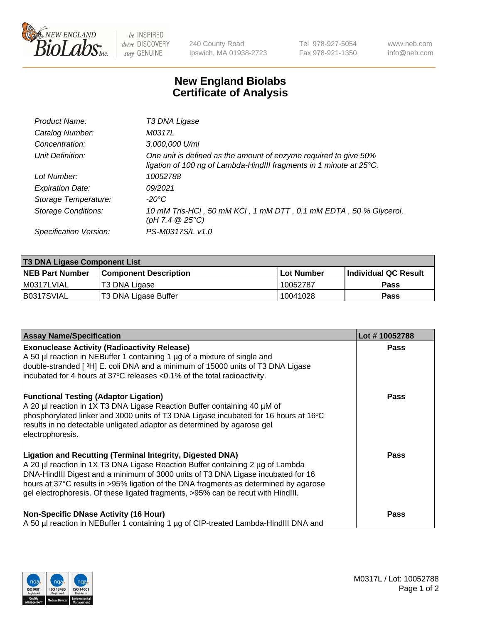

 $be$  INSPIRED drive DISCOVERY stay GENUINE

240 County Road Ipswich, MA 01938-2723 Tel 978-927-5054 Fax 978-921-1350 www.neb.com info@neb.com

## **New England Biolabs Certificate of Analysis**

| Product Name:              | T3 DNA Ligase                                                                                                                           |
|----------------------------|-----------------------------------------------------------------------------------------------------------------------------------------|
| Catalog Number:            | M0317L                                                                                                                                  |
| Concentration:             | 3,000,000 U/ml                                                                                                                          |
| Unit Definition:           | One unit is defined as the amount of enzyme required to give 50%<br>ligation of 100 ng of Lambda-HindIII fragments in 1 minute at 25°C. |
| Lot Number:                | 10052788                                                                                                                                |
| <b>Expiration Date:</b>    | 09/2021                                                                                                                                 |
| Storage Temperature:       | $-20^{\circ}$ C                                                                                                                         |
| <b>Storage Conditions:</b> | 10 mM Tris-HCl, 50 mM KCl, 1 mM DTT, 0.1 mM EDTA, 50 % Glycerol,<br>(pH 7.4 $@25°C$ )                                                   |
| Specification Version:     | PS-M0317S/L v1.0                                                                                                                        |

| <b>T3 DNA Ligase Component List</b> |                              |              |                      |  |  |
|-------------------------------------|------------------------------|--------------|----------------------|--|--|
| <b>NEB Part Number</b>              | <b>Component Description</b> | l Lot Number | Individual QC Result |  |  |
| I M0317LVIAL                        | T3 DNA Ligase                | 10052787     | <b>Pass</b>          |  |  |
| B0317SVIAL                          | T3 DNA Ligase Buffer         | 10041028     | Pass                 |  |  |

| <b>Assay Name/Specification</b>                                                                                                                                                                                                                                                                                                                                                                                    | Lot #10052788 |
|--------------------------------------------------------------------------------------------------------------------------------------------------------------------------------------------------------------------------------------------------------------------------------------------------------------------------------------------------------------------------------------------------------------------|---------------|
| <b>Exonuclease Activity (Radioactivity Release)</b><br>A 50 µl reaction in NEBuffer 1 containing 1 µg of a mixture of single and<br>double-stranded [3H] E. coli DNA and a minimum of 15000 units of T3 DNA Ligase<br>incubated for 4 hours at 37°C releases <0.1% of the total radioactivity.                                                                                                                     | Pass          |
| <b>Functional Testing (Adaptor Ligation)</b><br>A 20 µl reaction in 1X T3 DNA Ligase Reaction Buffer containing 40 µM of<br>phosphorylated linker and 3000 units of T3 DNA Ligase incubated for 16 hours at 16°C<br>results in no detectable unligated adaptor as determined by agarose gel<br>electrophoresis.                                                                                                    | Pass          |
| <b>Ligation and Recutting (Terminal Integrity, Digested DNA)</b><br>A 20 µl reaction in 1X T3 DNA Ligase Reaction Buffer containing 2 µg of Lambda<br>DNA-HindIII Digest and a minimum of 3000 units of T3 DNA Ligase incubated for 16<br>hours at 37°C results in >95% ligation of the DNA fragments as determined by agarose<br>gel electrophoresis. Of these ligated fragments, >95% can be recut with HindIII. | Pass          |
| <b>Non-Specific DNase Activity (16 Hour)</b><br>A 50 µl reaction in NEBuffer 1 containing 1 µg of CIP-treated Lambda-HindIII DNA and                                                                                                                                                                                                                                                                               | Pass          |